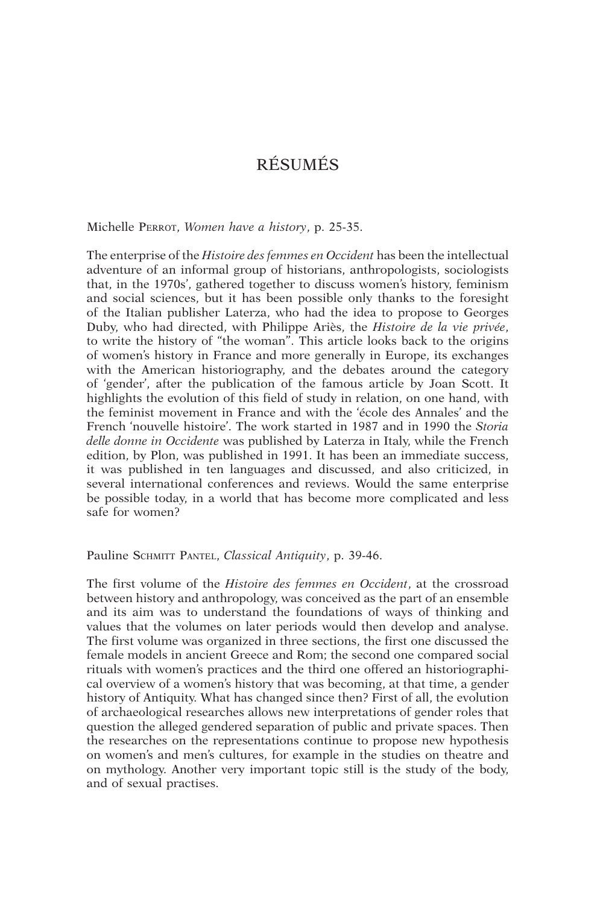Michelle Perrot, *Women have a history*, p. 25-35.

The enterprise of the *Histoire des femmes en Occident* has been the intellectual adventure of an informal group of historians, anthropologists, sociologists that, in the 1970s', gathered together to discuss women's history, feminism and social sciences, but it has been possible only thanks to the foresight of the Italian publisher Laterza, who had the idea to propose to Georges Duby, who had directed, with Philippe Ariès, the *Histoire de la vie privée*, to write the history of "the woman". This article looks back to the origins of women's history in France and more generally in Europe, its exchanges with the American historiography, and the debates around the category of 'gender', after the publication of the famous article by Joan Scott. It highlights the evolution of this field of study in relation, on one hand, with the feminist movement in France and with the 'école des Annales' and the French 'nouvelle histoire'. The work started in 1987 and in 1990 the *Storia delle donne in Occidente* was published by Laterza in Italy, while the French edition, by Plon, was published in 1991. It has been an immediate success, it was published in ten languages and discussed, and also criticized, in several international conferences and reviews. Would the same enterprise be possible today, in a world that has become more complicated and less safe for women?

#### Pauline SCHMITT PANTEL, *Classical Antiquity*, p. 39-46.

The first volume of the *Histoire des femmes en Occident*, at the crossroad between history and anthropology, was conceived as the part of an ensemble and its aim was to understand the foundations of ways of thinking and values that the volumes on later periods would then develop and analyse. The first volume was organized in three sections, the first one discussed the female models in ancient Greece and Rom; the second one compared social rituals with women's practices and the third one offered an historiographical overview of a women's history that was becoming, at that time, a gender history of Antiquity. What has changed since then? First of all, the evolution of archaeological researches allows new interpretations of gender roles that question the alleged gendered separation of public and private spaces. Then the researches on the representations continue to propose new hypothesis on women's and men's cultures, for example in the studies on theatre and on mythology. Another very important topic still is the study of the body, and of sexual practises.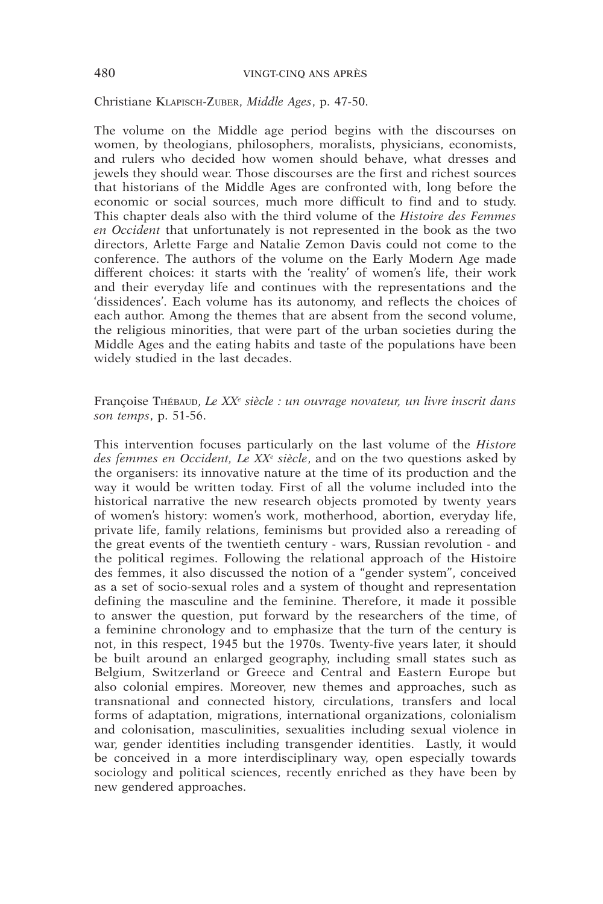#### Christiane Klapisch-Zuber, *Middle Ages*, p. 47-50.

The volume on the Middle age period begins with the discourses on women, by theologians, philosophers, moralists, physicians, economists, and rulers who decided how women should behave, what dresses and jewels they should wear. Those discourses are the first and richest sources that historians of the Middle Ages are confronted with, long before the economic or social sources, much more difficult to find and to study. This chapter deals also with the third volume of the *Histoire des Femmes en Occident* that unfortunately is not represented in the book as the two directors, Arlette Farge and Natalie Zemon Davis could not come to the conference. The authors of the volume on the Early Modern Age made different choices: it starts with the 'reality' of women's life, their work and their everyday life and continues with the representations and the 'dissidences'. Each volume has its autonomy, and reflects the choices of each author. Among the themes that are absent from the second volume, the religious minorities, that were part of the urban societies during the Middle Ages and the eating habits and taste of the populations have been widely studied in the last decades.

## Françoise Thébaud, *Le XX<sup>e</sup> siècle : un ouvrage novateur, un livre inscrit dans son temps*, p. 51-56.

This intervention focuses particularly on the last volume of the *Histore des femmes en Occident, Le XXe siècle*, and on the two questions asked by the organisers: its innovative nature at the time of its production and the way it would be written today. First of all the volume included into the historical narrative the new research objects promoted by twenty years of women's history: women's work, motherhood, abortion, everyday life, private life, family relations, feminisms but provided also a rereading of the great events of the twentieth century - wars, Russian revolution - and the political regimes. Following the relational approach of the Histoire des femmes, it also discussed the notion of a "gender system", conceived as a set of socio-sexual roles and a system of thought and representation defining the masculine and the feminine. Therefore, it made it possible to answer the question, put forward by the researchers of the time, of a feminine chronology and to emphasize that the turn of the century is not, in this respect, 1945 but the 1970s. Twenty-five years later, it should be built around an enlarged geography, including small states such as Belgium, Switzerland or Greece and Central and Eastern Europe but also colonial empires. Moreover, new themes and approaches, such as transnational and connected history, circulations, transfers and local forms of adaptation, migrations, international organizations, colonialism and colonisation, masculinities, sexualities including sexual violence in war, gender identities including transgender identities. Lastly, it would be conceived in a more interdisciplinary way, open especially towards sociology and political sciences, recently enriched as they have been by new gendered approaches.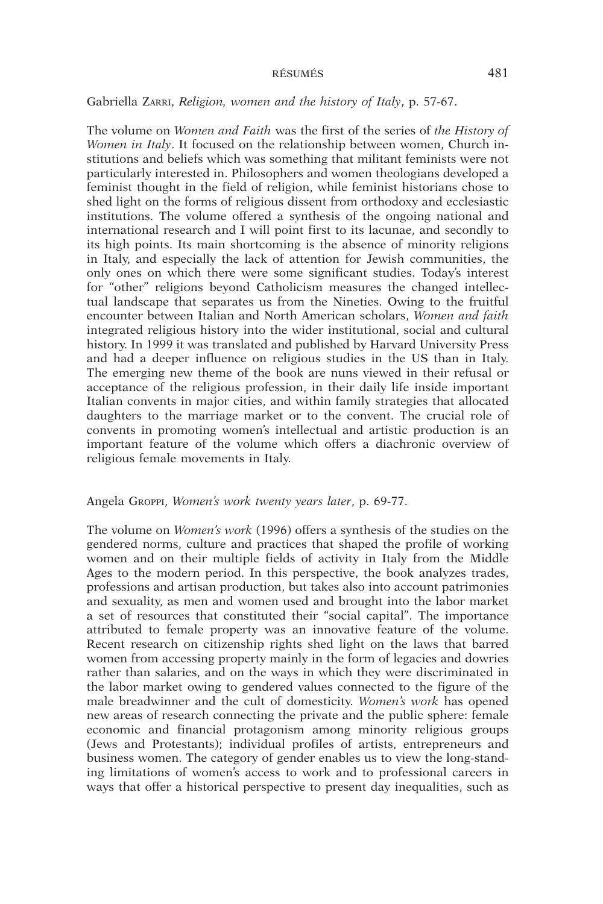## Gabriella Zarri, *Religion, women and the history of Italy*, p. 57-67.

The volume on *Women and Faith* was the first of the series of *the History of Women in Italy*. It focused on the relationship between women, Church institutions and beliefs which was something that militant feminists were not particularly interested in. Philosophers and women theologians developed a feminist thought in the field of religion, while feminist historians chose to shed light on the forms of religious dissent from orthodoxy and ecclesiastic institutions. The volume offered a synthesis of the ongoing national and international research and I will point first to its lacunae, and secondly to its high points. Its main shortcoming is the absence of minority religions in Italy, and especially the lack of attention for Jewish communities, the only ones on which there were some significant studies. Today's interest for "other" religions beyond Catholicism measures the changed intellectual landscape that separates us from the Nineties. Owing to the fruitful encounter between Italian and North American scholars, *Women and faith* integrated religious history into the wider institutional, social and cultural history. In 1999 it was translated and published by Harvard University Press and had a deeper influence on religious studies in the US than in Italy. The emerging new theme of the book are nuns viewed in their refusal or acceptance of the religious profession, in their daily life inside important Italian convents in major cities, and within family strategies that allocated daughters to the marriage market or to the convent. The crucial role of convents in promoting women's intellectual and artistic production is an important feature of the volume which offers a diachronic overview of religious female movements in Italy.

#### Angela Groppi, *Women's work twenty years later*, p. 69-77.

The volume on *Women's work* (1996) offers a synthesis of the studies on the gendered norms, culture and practices that shaped the profile of working women and on their multiple fields of activity in Italy from the Middle Ages to the modern period. In this perspective, the book analyzes trades, professions and artisan production, but takes also into account patrimonies and sexuality, as men and women used and brought into the labor market a set of resources that constituted their "social capital". The importance attributed to female property was an innovative feature of the volume. Recent research on citizenship rights shed light on the laws that barred women from accessing property mainly in the form of legacies and dowries rather than salaries, and on the ways in which they were discriminated in the labor market owing to gendered values connected to the figure of the male breadwinner and the cult of domesticity. *Women's work* has opened new areas of research connecting the private and the public sphere: female economic and financial protagonism among minority religious groups (Jews and Protestants); individual profiles of artists, entrepreneurs and business women. The category of gender enables us to view the long-standing limitations of women's access to work and to professional careers in ways that offer a historical perspective to present day inequalities, such as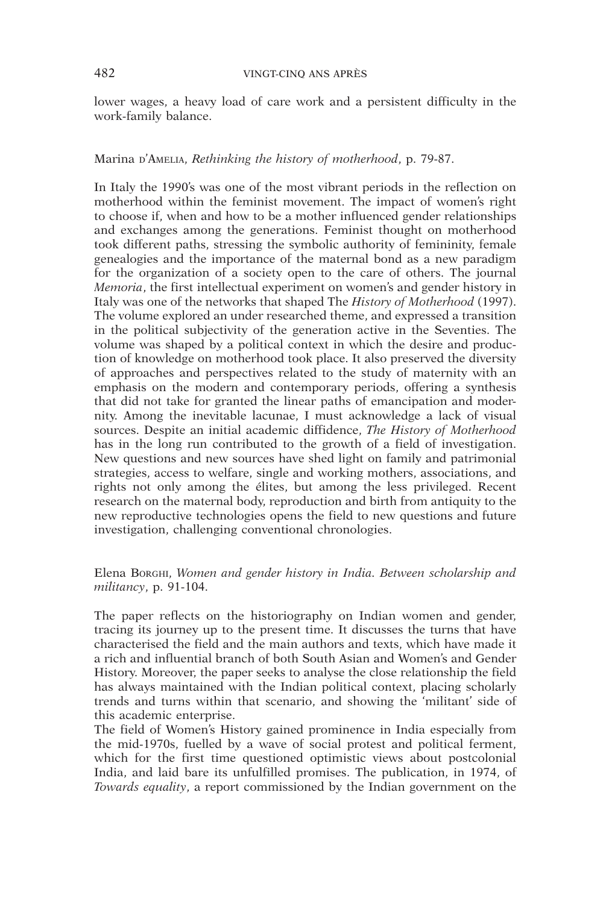lower wages, a heavy load of care work and a persistent difficulty in the work-family balance.

#### Marina *D'AMELIA, Rethinking the history of motherhood*, p. 79-87.

In Italy the 1990's was one of the most vibrant periods in the reflection on motherhood within the feminist movement. The impact of women's right to choose if, when and how to be a mother influenced gender relationships and exchanges among the generations. Feminist thought on motherhood took different paths, stressing the symbolic authority of femininity, female genealogies and the importance of the maternal bond as a new paradigm for the organization of a society open to the care of others. The journal *Memoria*, the first intellectual experiment on women's and gender history in Italy was one of the networks that shaped The *History of Motherhood* (1997). The volume explored an under researched theme, and expressed a transition in the political subjectivity of the generation active in the Seventies. The volume was shaped by a political context in which the desire and production of knowledge on motherhood took place. It also preserved the diversity of approaches and perspectives related to the study of maternity with an emphasis on the modern and contemporary periods, offering a synthesis that did not take for granted the linear paths of emancipation and modernity. Among the inevitable lacunae, I must acknowledge a lack of visual sources. Despite an initial academic diffidence, *The History of Motherhood* has in the long run contributed to the growth of a field of investigation. New questions and new sources have shed light on family and patrimonial strategies, access to welfare, single and working mothers, associations, and rights not only among the élites, but among the less privileged. Recent research on the maternal body, reproduction and birth from antiquity to the new reproductive technologies opens the field to new questions and future investigation, challenging conventional chronologies.

# Elena Borghi, *Women and gender history in India. Between scholarship and militancy*, p. 91-104.

The paper reflects on the historiography on Indian women and gender, tracing its journey up to the present time. It discusses the turns that have characterised the field and the main authors and texts, which have made it a rich and influential branch of both South Asian and Women's and Gender History. Moreover, the paper seeks to analyse the close relationship the field has always maintained with the Indian political context, placing scholarly trends and turns within that scenario, and showing the 'militant' side of this academic enterprise.

The field of Women's History gained prominence in India especially from the mid-1970s, fuelled by a wave of social protest and political ferment, which for the first time questioned optimistic views about postcolonial India, and laid bare its unfulfilled promises. The publication, in 1974, of *Towards equality*, a report commissioned by the Indian government on the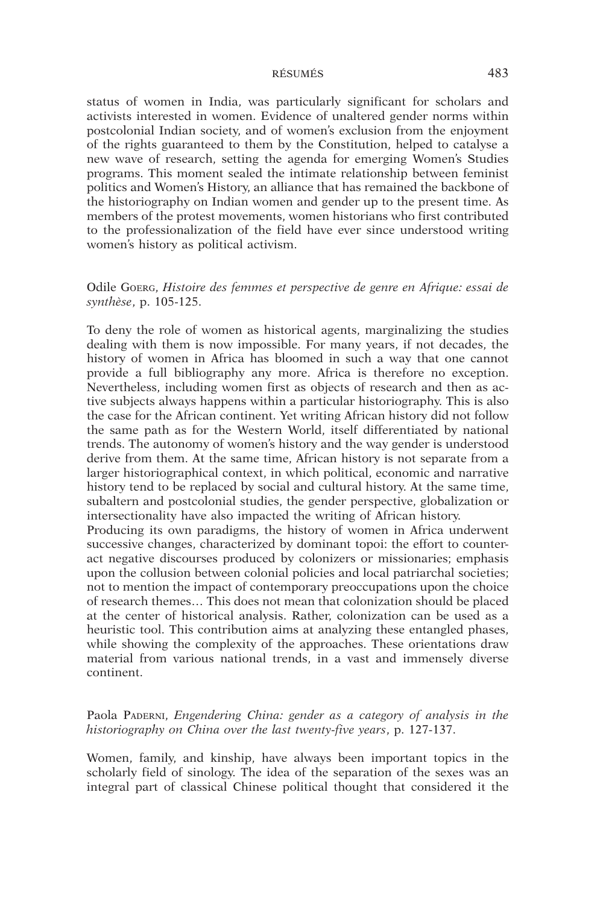status of women in India, was particularly significant for scholars and activists interested in women. Evidence of unaltered gender norms within postcolonial Indian society, and of women's exclusion from the enjoyment of the rights guaranteed to them by the Constitution, helped to catalyse a new wave of research, setting the agenda for emerging Women's Studies programs. This moment sealed the intimate relationship between feminist politics and Women's History, an alliance that has remained the backbone of the historiography on Indian women and gender up to the present time. As members of the protest movements, women historians who first contributed to the professionalization of the field have ever since understood writing women's history as political activism.

# Odile Goerg, *Histoire des femmes et perspective de genre en Afrique: essai de synthèse*, p. 105-125.

To deny the role of women as historical agents, marginalizing the studies dealing with them is now impossible. For many years, if not decades, the history of women in Africa has bloomed in such a way that one cannot provide a full bibliography any more. Africa is therefore no exception. Nevertheless, including women first as objects of research and then as active subjects always happens within a particular historiography. This is also the case for the African continent. Yet writing African history did not follow the same path as for the Western World, itself differentiated by national trends. The autonomy of women's history and the way gender is understood derive from them. At the same time, African history is not separate from a larger historiographical context, in which political, economic and narrative history tend to be replaced by social and cultural history. At the same time, subaltern and postcolonial studies, the gender perspective, globalization or intersectionality have also impacted the writing of African history.

Producing its own paradigms, the history of women in Africa underwent successive changes, characterized by dominant topoi: the effort to counteract negative discourses produced by colonizers or missionaries; emphasis upon the collusion between colonial policies and local patriarchal societies; not to mention the impact of contemporary preoccupations upon the choice of research themes… This does not mean that colonization should be placed at the center of historical analysis. Rather, colonization can be used as a heuristic tool. This contribution aims at analyzing these entangled phases, while showing the complexity of the approaches. These orientations draw material from various national trends, in a vast and immensely diverse continent.

# Paola PADERNI, *Engendering China: gender as a category of analysis in the historiography on China over the last twenty-five years*, p. 127-137.

Women, family, and kinship, have always been important topics in the scholarly field of sinology. The idea of the separation of the sexes was an integral part of classical Chinese political thought that considered it the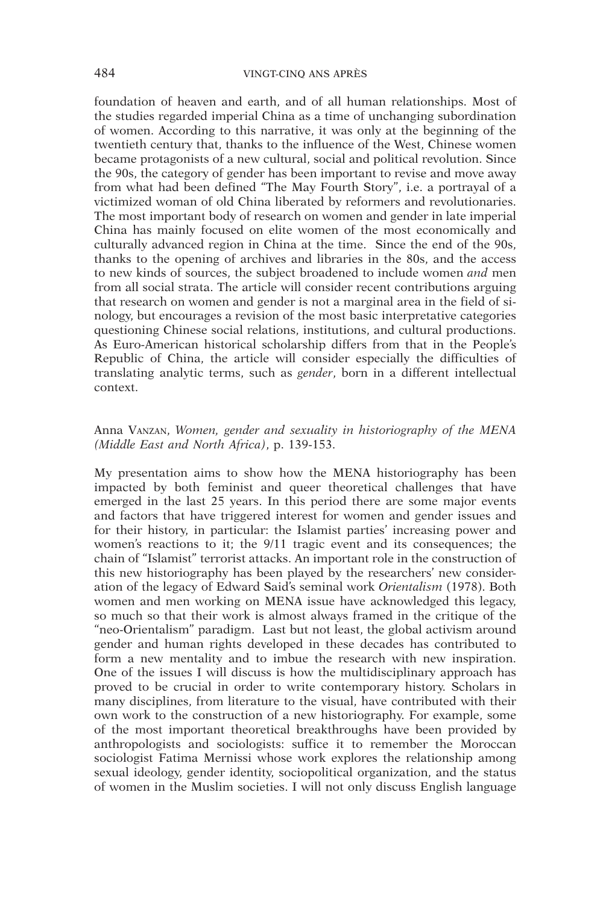foundation of heaven and earth, and of all human relationships. Most of the studies regarded imperial China as a time of unchanging subordination of women. According to this narrative, it was only at the beginning of the twentieth century that, thanks to the influence of the West, Chinese women became protagonists of a new cultural, social and political revolution. Since the 90s, the category of gender has been important to revise and move away from what had been defined "The May Fourth Story", i.e. a portrayal of a victimized woman of old China liberated by reformers and revolutionaries. The most important body of research on women and gender in late imperial China has mainly focused on elite women of the most economically and culturally advanced region in China at the time. Since the end of the 90s, thanks to the opening of archives and libraries in the 80s, and the access to new kinds of sources, the subject broadened to include women *and* men from all social strata. The article will consider recent contributions arguing that research on women and gender is not a marginal area in the field of sinology, but encourages a revision of the most basic interpretative categories questioning Chinese social relations, institutions, and cultural productions. As Euro-American historical scholarship differs from that in the People's Republic of China, the article will consider especially the difficulties of translating analytic terms, such as *gender*, born in a different intellectual context.

# Anna Vanzan, *Women, gender and sexuality in historiography of the MENA (Middle East and North Africa)*, p. 139-153.

My presentation aims to show how the MENA historiography has been impacted by both feminist and queer theoretical challenges that have emerged in the last 25 years. In this period there are some major events and factors that have triggered interest for women and gender issues and for their history, in particular: the Islamist parties' increasing power and women's reactions to it; the 9/11 tragic event and its consequences; the chain of "Islamist" terrorist attacks. An important role in the construction of this new historiography has been played by the researchers' new consideration of the legacy of Edward Said's seminal work *Orientalism* (1978). Both women and men working on MENA issue have acknowledged this legacy, so much so that their work is almost always framed in the critique of the "neo-Orientalism" paradigm. Last but not least, the global activism around gender and human rights developed in these decades has contributed to form a new mentality and to imbue the research with new inspiration. One of the issues I will discuss is how the multidisciplinary approach has proved to be crucial in order to write contemporary history. Scholars in many disciplines, from literature to the visual, have contributed with their own work to the construction of a new historiography. For example, some of the most important theoretical breakthroughs have been provided by anthropologists and sociologists: suffice it to remember the Moroccan sociologist Fatima Mernissi whose work explores the relationship among sexual ideology, gender identity, sociopolitical organization, and the status of women in the Muslim societies. I will not only discuss English language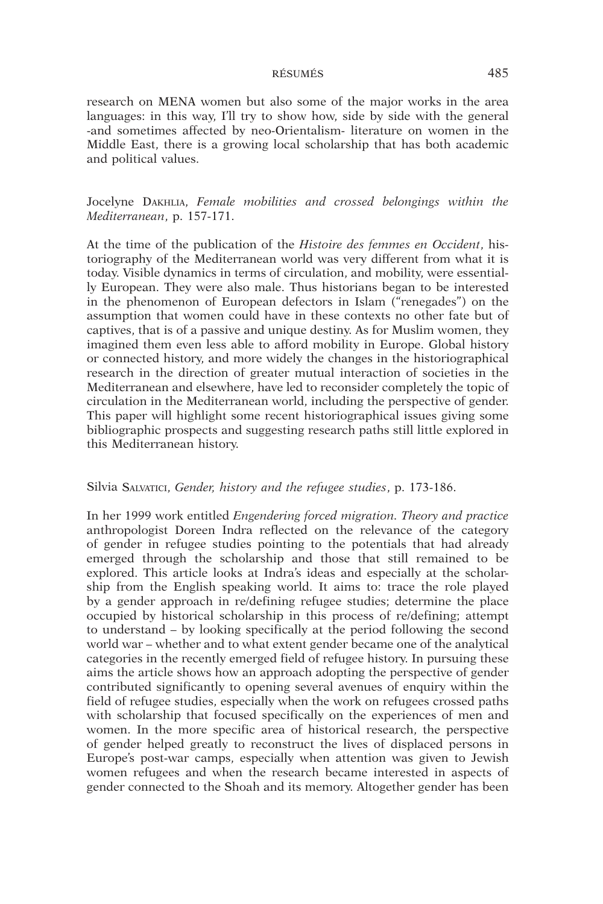research on MENA women but also some of the major works in the area languages: in this way, I'll try to show how, side by side with the general -and sometimes affected by neo-Orientalism- literature on women in the Middle East, there is a growing local scholarship that has both academic and political values.

Jocelyne Dakhlia, *Female mobilities and crossed belongings within the Mediterranean*, p. 157-171.

At the time of the publication of the *Histoire des femmes en Occident*, historiography of the Mediterranean world was very different from what it is today. Visible dynamics in terms of circulation, and mobility, were essentially European. They were also male. Thus historians began to be interested in the phenomenon of European defectors in Islam ("renegades") on the assumption that women could have in these contexts no other fate but of captives, that is of a passive and unique destiny. As for Muslim women, they imagined them even less able to afford mobility in Europe. Global history or connected history, and more widely the changes in the historiographical research in the direction of greater mutual interaction of societies in the Mediterranean and elsewhere, have led to reconsider completely the topic of circulation in the Mediterranean world, including the perspective of gender. This paper will highlight some recent historiographical issues giving some bibliographic prospects and suggesting research paths still little explored in this Mediterranean history.

#### Silvia Salvatici, *Gender, history and the refugee studies*, p. 173-186.

In her 1999 work entitled *Engendering forced migration. Theory and practice*  anthropologist Doreen Indra reflected on the relevance of the category of gender in refugee studies pointing to the potentials that had already emerged through the scholarship and those that still remained to be explored. This article looks at Indra's ideas and especially at the scholarship from the English speaking world. It aims to: trace the role played by a gender approach in re/defining refugee studies; determine the place occupied by historical scholarship in this process of re/defining; attempt to understand – by looking specifically at the period following the second world war – whether and to what extent gender became one of the analytical categories in the recently emerged field of refugee history. In pursuing these aims the article shows how an approach adopting the perspective of gender contributed significantly to opening several avenues of enquiry within the field of refugee studies, especially when the work on refugees crossed paths with scholarship that focused specifically on the experiences of men and women. In the more specific area of historical research, the perspective of gender helped greatly to reconstruct the lives of displaced persons in Europe's post-war camps, especially when attention was given to Jewish women refugees and when the research became interested in aspects of gender connected to the Shoah and its memory. Altogether gender has been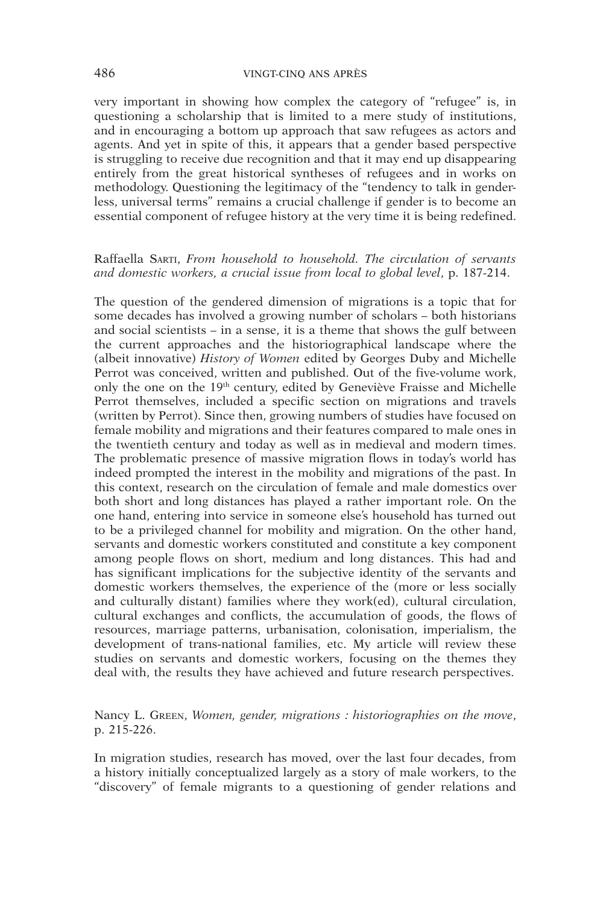very important in showing how complex the category of "refugee" is, in questioning a scholarship that is limited to a mere study of institutions, and in encouraging a bottom up approach that saw refugees as actors and agents. And yet in spite of this, it appears that a gender based perspective is struggling to receive due recognition and that it may end up disappearing entirely from the great historical syntheses of refugees and in works on methodology. Questioning the legitimacy of the "tendency to talk in genderless, universal terms" remains a crucial challenge if gender is to become an essential component of refugee history at the very time it is being redefined.

## Raffaella Sarti, *From household to household. The circulation of servants and domestic workers, a crucial issue from local to global level*, p. 187-214.

The question of the gendered dimension of migrations is a topic that for some decades has involved a growing number of scholars – both historians and social scientists – in a sense, it is a theme that shows the gulf between the current approaches and the historiographical landscape where the (albeit innovative) *History of Women* edited by Georges Duby and Michelle Perrot was conceived, written and published. Out of the five-volume work, only the one on the 19th century, edited by Geneviève Fraisse and Michelle Perrot themselves, included a specific section on migrations and travels (written by Perrot). Since then, growing numbers of studies have focused on female mobility and migrations and their features compared to male ones in the twentieth century and today as well as in medieval and modern times. The problematic presence of massive migration flows in today's world has indeed prompted the interest in the mobility and migrations of the past. In this context, research on the circulation of female and male domestics over both short and long distances has played a rather important role. On the one hand, entering into service in someone else's household has turned out to be a privileged channel for mobility and migration. On the other hand, servants and domestic workers constituted and constitute a key component among people flows on short, medium and long distances. This had and has significant implications for the subjective identity of the servants and domestic workers themselves, the experience of the (more or less socially and culturally distant) families where they work(ed), cultural circulation, cultural exchanges and conflicts, the accumulation of goods, the flows of resources, marriage patterns, urbanisation, colonisation, imperialism, the development of trans-national families, etc. My article will review these studies on servants and domestic workers, focusing on the themes they deal with, the results they have achieved and future research perspectives.

Nancy L. Green, *Women, gender, migrations : historiographies on the move*, p. 215-226.

In migration studies, research has moved, over the last four decades, from a history initially conceptualized largely as a story of male workers, to the "discovery" of female migrants to a questioning of gender relations and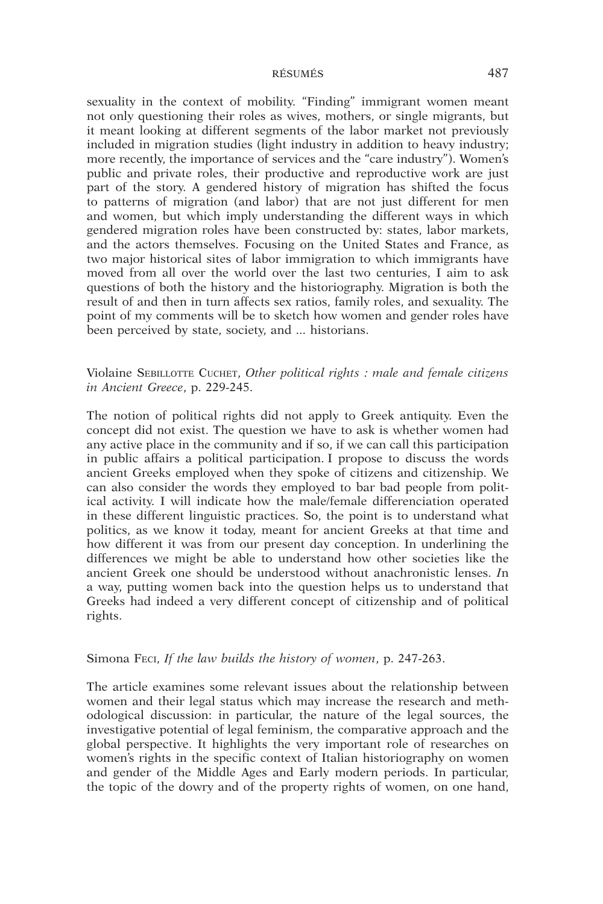sexuality in the context of mobility. "Finding" immigrant women meant not only questioning their roles as wives, mothers, or single migrants, but it meant looking at different segments of the labor market not previously included in migration studies (light industry in addition to heavy industry; more recently, the importance of services and the "care industry"). Women's public and private roles, their productive and reproductive work are just part of the story. A gendered history of migration has shifted the focus to patterns of migration (and labor) that are not just different for men and women, but which imply understanding the different ways in which gendered migration roles have been constructed by: states, labor markets, and the actors themselves. Focusing on the United States and France, as two major historical sites of labor immigration to which immigrants have moved from all over the world over the last two centuries, I aim to ask questions of both the history and the historiography. Migration is both the result of and then in turn affects sex ratios, family roles, and sexuality. The point of my comments will be to sketch how women and gender roles have been perceived by state, society, and ... historians.

# Violaine Sebillotte Cuchet, *Other political rights : male and female citizens in Ancient Greece*, p. 229-245.

The notion of political rights did not apply to Greek antiquity. Even the concept did not exist. The question we have to ask is whether women had any active place in the community and if so, if we can call this participation in public affairs a political participation. I propose to discuss the words ancient Greeks employed when they spoke of citizens and citizenship. We can also consider the words they employed to bar bad people from political activity. I will indicate how the male/female differenciation operated in these different linguistic practices. So, the point is to understand what politics, as we know it today, meant for ancient Greeks at that time and how different it was from our present day conception. In underlining the differences we might be able to understand how other societies like the ancient Greek one should be understood without anachronistic lenses. *I*n a way, putting women back into the question helps us to understand that Greeks had indeed a very different concept of citizenship and of political rights.

#### Simona Feci, *If the law builds the history of women*, p. 247-263.

The article examines some relevant issues about the relationship between women and their legal status which may increase the research and methodological discussion: in particular, the nature of the legal sources, the investigative potential of legal feminism, the comparative approach and the global perspective. It highlights the very important role of researches on women's rights in the specific context of Italian historiography on women and gender of the Middle Ages and Early modern periods. In particular, the topic of the dowry and of the property rights of women, on one hand,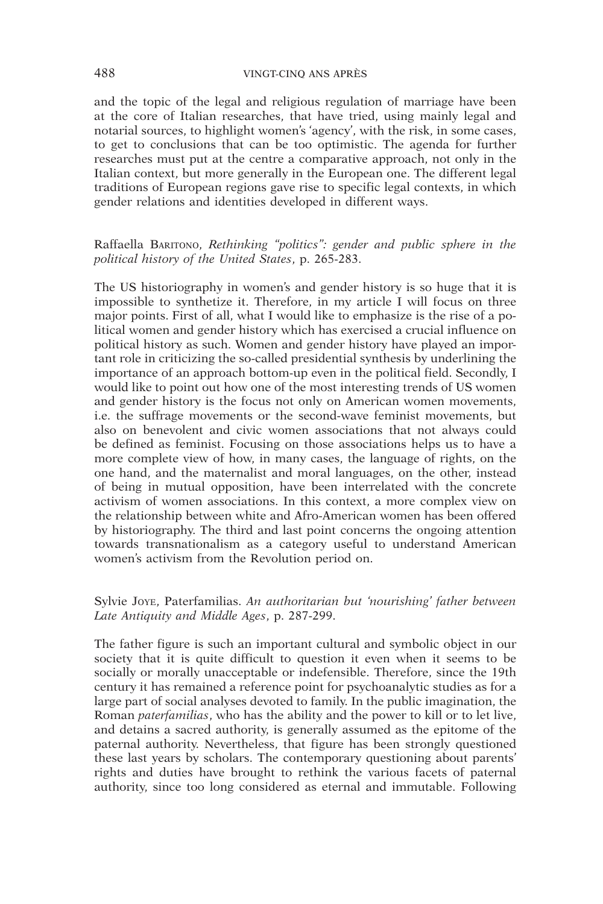and the topic of the legal and religious regulation of marriage have been at the core of Italian researches, that have tried, using mainly legal and notarial sources, to highlight women's 'agency', with the risk, in some cases, to get to conclusions that can be too optimistic. The agenda for further researches must put at the centre a comparative approach, not only in the Italian context, but more generally in the European one. The different legal traditions of European regions gave rise to specific legal contexts, in which gender relations and identities developed in different ways.

# Raffaella BARITONO, *Rethinking "politics": gender and public sphere in the political history of the United States*, p. 265-283.

The US historiography in women's and gender history is so huge that it is impossible to synthetize it. Therefore, in my article I will focus on three major points. First of all, what I would like to emphasize is the rise of a political women and gender history which has exercised a crucial influence on political history as such. Women and gender history have played an important role in criticizing the so-called presidential synthesis by underlining the importance of an approach bottom-up even in the political field. Secondly, I would like to point out how one of the most interesting trends of US women and gender history is the focus not only on American women movements, i.e. the suffrage movements or the second-wave feminist movements, but also on benevolent and civic women associations that not always could be defined as feminist. Focusing on those associations helps us to have a more complete view of how, in many cases, the language of rights, on the one hand, and the maternalist and moral languages, on the other, instead of being in mutual opposition, have been interrelated with the concrete activism of women associations. In this context, a more complex view on the relationship between white and Afro-American women has been offered by historiography. The third and last point concerns the ongoing attention towards transnationalism as a category useful to understand American women's activism from the Revolution period on.

# Sylvie Joye, Paterfamilias. *An authoritarian but 'nourishing' father between Late Antiquity and Middle Ages*, p. 287-299.

The father figure is such an important cultural and symbolic object in our society that it is quite difficult to question it even when it seems to be socially or morally unacceptable or indefensible. Therefore, since the 19th century it has remained a reference point for psychoanalytic studies as for a large part of social analyses devoted to family. In the public imagination, the Roman *paterfamilias*, who has the ability and the power to kill or to let live, and detains a sacred authority, is generally assumed as the epitome of the paternal authority. Nevertheless, that figure has been strongly questioned these last years by scholars. The contemporary questioning about parents' rights and duties have brought to rethink the various facets of paternal authority, since too long considered as eternal and immutable. Following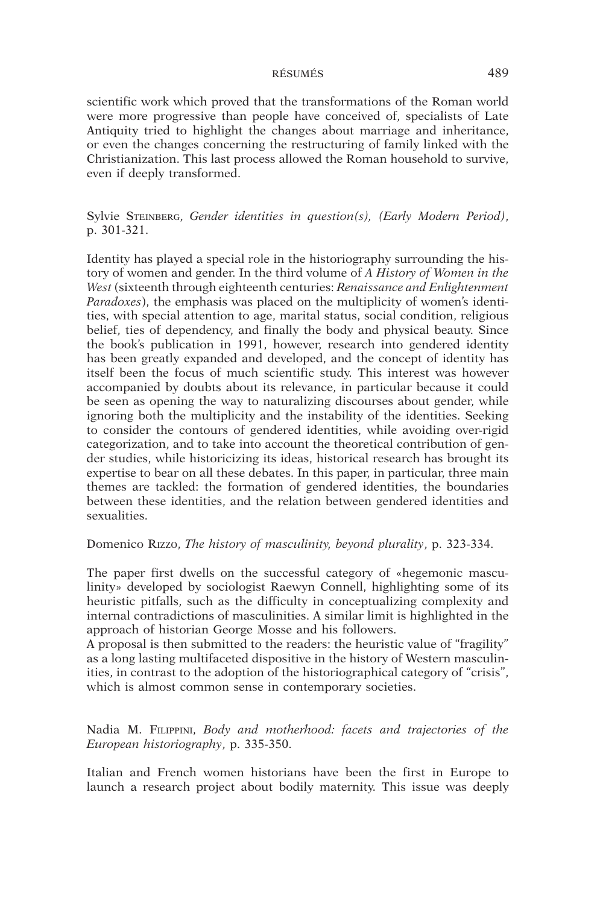scientific work which proved that the transformations of the Roman world were more progressive than people have conceived of, specialists of Late Antiquity tried to highlight the changes about marriage and inheritance, or even the changes concerning the restructuring of family linked with the Christianization. This last process allowed the Roman household to survive, even if deeply transformed.

Sylvie Steinberg, *Gender identities in question(s), (Early Modern Period)*, p. 301-321.

Identity has played a special role in the historiography surrounding the history of women and gender. In the third volume of *A History of Women in the West* (sixteenth through eighteenth centuries: *Renaissance and Enlightenment Paradoxes*), the emphasis was placed on the multiplicity of women's identities, with special attention to age, marital status, social condition, religious belief, ties of dependency, and finally the body and physical beauty. Since the book's publication in 1991, however, research into gendered identity has been greatly expanded and developed, and the concept of identity has itself been the focus of much scientific study. This interest was however accompanied by doubts about its relevance, in particular because it could be seen as opening the way to naturalizing discourses about gender, while ignoring both the multiplicity and the instability of the identities. Seeking to consider the contours of gendered identities, while avoiding over-rigid categorization, and to take into account the theoretical contribution of gender studies, while historicizing its ideas, historical research has brought its expertise to bear on all these debates. In this paper, in particular, three main themes are tackled: the formation of gendered identities, the boundaries between these identities, and the relation between gendered identities and sexualities.

# Domenico Rizzo, *The history of masculinity, beyond plurality*, p. 323-334.

The paper first dwells on the successful category of «hegemonic masculinity» developed by sociologist Raewyn Connell, highlighting some of its heuristic pitfalls, such as the difficulty in conceptualizing complexity and internal contradictions of masculinities. A similar limit is highlighted in the approach of historian George Mosse and his followers.

A proposal is then submitted to the readers: the heuristic value of "fragility" as a long lasting multifaceted dispositive in the history of Western masculinities, in contrast to the adoption of the historiographical category of "crisis", which is almost common sense in contemporary societies.

Nadia M. Filippini, *Body and motherhood: facets and trajectories of the European historiography*, p. 335-350.

Italian and French women historians have been the first in Europe to launch a research project about bodily maternity. This issue was deeply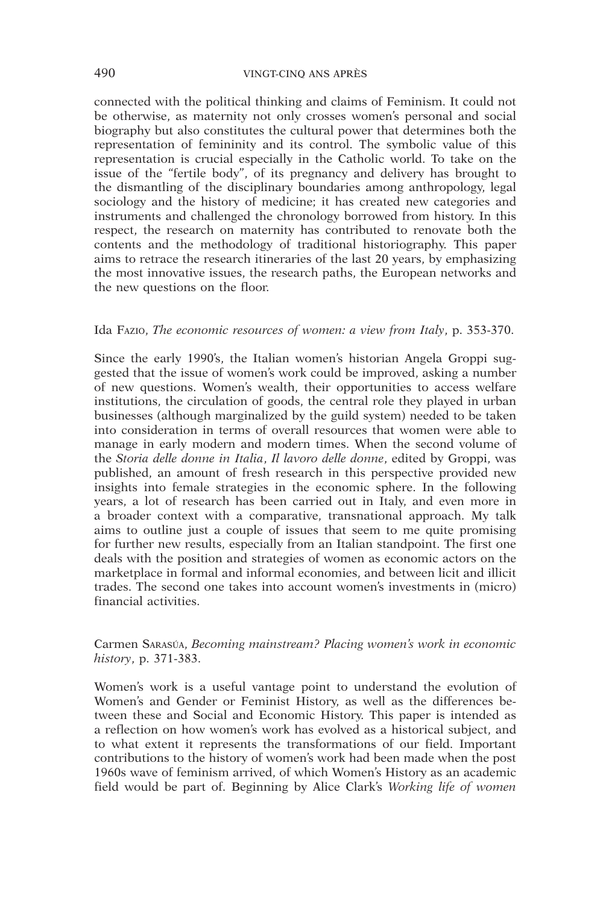connected with the political thinking and claims of Feminism. It could not be otherwise, as maternity not only crosses women's personal and social biography but also constitutes the cultural power that determines both the representation of femininity and its control. The symbolic value of this representation is crucial especially in the Catholic world. To take on the issue of the "fertile body", of its pregnancy and delivery has brought to the dismantling of the disciplinary boundaries among anthropology, legal sociology and the history of medicine; it has created new categories and instruments and challenged the chronology borrowed from history. In this respect, the research on maternity has contributed to renovate both the contents and the methodology of traditional historiography. This paper aims to retrace the research itineraries of the last 20 years, by emphasizing the most innovative issues, the research paths, the European networks and the new questions on the floor.

#### Ida Fazio, *The economic resources of women: a view from Italy*, p. 353-370.

Since the early 1990's, the Italian women's historian Angela Groppi suggested that the issue of women's work could be improved, asking a number of new questions. Women's wealth, their opportunities to access welfare institutions, the circulation of goods, the central role they played in urban businesses (although marginalized by the guild system) needed to be taken into consideration in terms of overall resources that women were able to manage in early modern and modern times. When the second volume of the *Storia delle donne in Italia*, *Il lavoro delle donne*, edited by Groppi, was published, an amount of fresh research in this perspective provided new insights into female strategies in the economic sphere. In the following years, a lot of research has been carried out in Italy, and even more in a broader context with a comparative, transnational approach. My talk aims to outline just a couple of issues that seem to me quite promising for further new results, especially from an Italian standpoint. The first one deals with the position and strategies of women as economic actors on the marketplace in formal and informal economies, and between licit and illicit trades. The second one takes into account women's investments in (micro) financial activities.

#### Carmen Sarasúa, *Becoming mainstream? Placing women's work in economic history*, p. 371-383.

Women's work is a useful vantage point to understand the evolution of Women's and Gender or Feminist History, as well as the differences between these and Social and Economic History. This paper is intended as a reflection on how women's work has evolved as a historical subject, and to what extent it represents the transformations of our field. Important contributions to the history of women's work had been made when the post 1960s wave of feminism arrived, of which Women's History as an academic field would be part of. Beginning by Alice Clark's *Working life of women*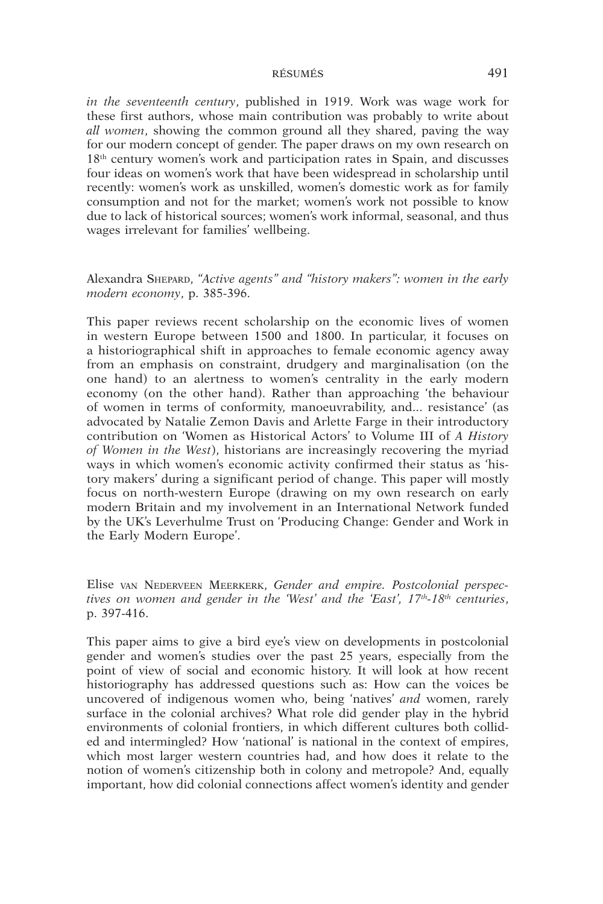*in the seventeenth century*, published in 1919. Work was wage work for these first authors, whose main contribution was probably to write about *all women*, showing the common ground all they shared, paving the way for our modern concept of gender. The paper draws on my own research on 18th century women's work and participation rates in Spain, and discusses four ideas on women's work that have been widespread in scholarship until recently: women's work as unskilled, women's domestic work as for family consumption and not for the market; women's work not possible to know due to lack of historical sources; women's work informal, seasonal, and thus wages irrelevant for families' wellbeing.

# Alexandra Shepard, *"Active agents" and "history makers": women in the early modern economy*, p. 385-396.

This paper reviews recent scholarship on the economic lives of women in western Europe between 1500 and 1800. In particular, it focuses on a historiographical shift in approaches to female economic agency away from an emphasis on constraint, drudgery and marginalisation (on the one hand) to an alertness to women's centrality in the early modern economy (on the other hand). Rather than approaching 'the behaviour of women in terms of conformity, manoeuvrability, and... resistance' (as advocated by Natalie Zemon Davis and Arlette Farge in their introductory contribution on 'Women as Historical Actors' to Volume III of *A History of Women in the West*), historians are increasingly recovering the myriad ways in which women's economic activity confirmed their status as 'history makers' during a significant period of change. This paper will mostly focus on north-western Europe (drawing on my own research on early modern Britain and my involvement in an International Network funded by the UK's Leverhulme Trust on 'Producing Change: Gender and Work in the Early Modern Europe'.

Elise van Nederveen Meerkerk, *Gender and empire. Postcolonial perspectives on women and gender in the 'West' and the 'East', 17th-18th centuries*, p. 397-416.

This paper aims to give a bird eye's view on developments in postcolonial gender and women's studies over the past 25 years, especially from the point of view of social and economic history. It will look at how recent historiography has addressed questions such as: How can the voices be uncovered of indigenous women who, being 'natives' *and* women, rarely surface in the colonial archives? What role did gender play in the hybrid environments of colonial frontiers, in which different cultures both collided and intermingled? How 'national' is national in the context of empires, which most larger western countries had, and how does it relate to the notion of women's citizenship both in colony and metropole? And, equally important, how did colonial connections affect women's identity and gender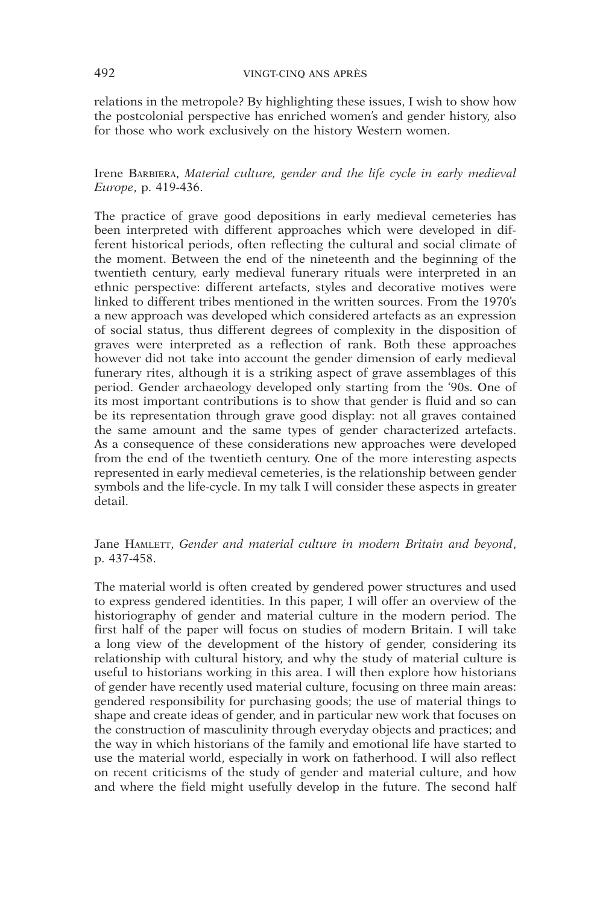relations in the metropole? By highlighting these issues, I wish to show how the postcolonial perspective has enriched women's and gender history, also for those who work exclusively on the history Western women.

Irene Barbiera, *Material culture, gender and the life cycle in early medieval Europe*, p. 419-436.

The practice of grave good depositions in early medieval cemeteries has been interpreted with different approaches which were developed in different historical periods, often reflecting the cultural and social climate of the moment. Between the end of the nineteenth and the beginning of the twentieth century, early medieval funerary rituals were interpreted in an ethnic perspective: different artefacts, styles and decorative motives were linked to different tribes mentioned in the written sources. From the 1970's a new approach was developed which considered artefacts as an expression of social status, thus different degrees of complexity in the disposition of graves were interpreted as a reflection of rank. Both these approaches however did not take into account the gender dimension of early medieval funerary rites, although it is a striking aspect of grave assemblages of this period. Gender archaeology developed only starting from the '90s. One of its most important contributions is to show that gender is fluid and so can be its representation through grave good display: not all graves contained the same amount and the same types of gender characterized artefacts. As a consequence of these considerations new approaches were developed from the end of the twentieth century. One of the more interesting aspects represented in early medieval cemeteries, is the relationship between gender symbols and the life-cycle. In my talk I will consider these aspects in greater detail.

Jane HAMLETT, *Gender and material culture in modern Britain and beyond*, p. 437-458.

The material world is often created by gendered power structures and used to express gendered identities. In this paper, I will offer an overview of the historiography of gender and material culture in the modern period. The first half of the paper will focus on studies of modern Britain. I will take a long view of the development of the history of gender, considering its relationship with cultural history, and why the study of material culture is useful to historians working in this area. I will then explore how historians of gender have recently used material culture, focusing on three main areas: gendered responsibility for purchasing goods; the use of material things to shape and create ideas of gender, and in particular new work that focuses on the construction of masculinity through everyday objects and practices; and the way in which historians of the family and emotional life have started to use the material world, especially in work on fatherhood. I will also reflect on recent criticisms of the study of gender and material culture, and how and where the field might usefully develop in the future. The second half